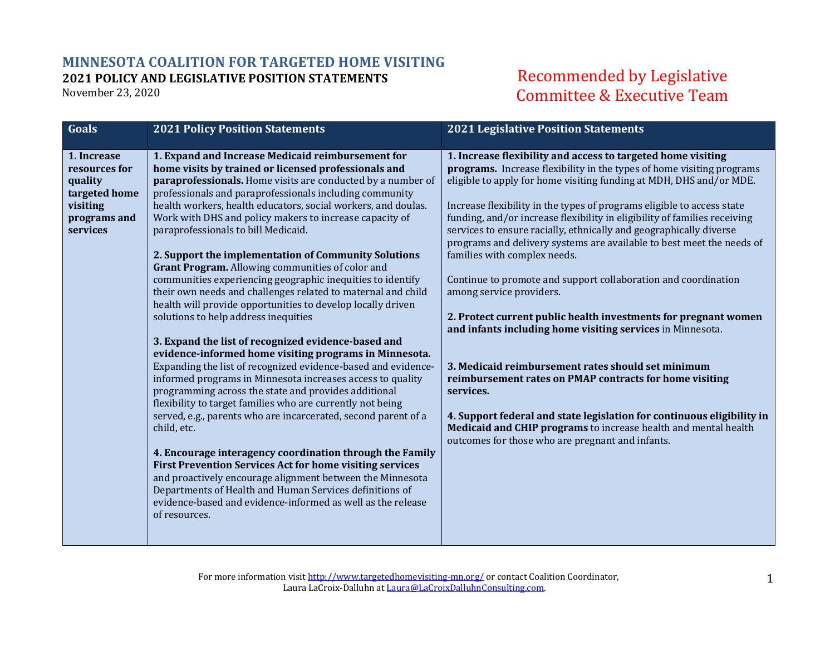## **MINNESOTA COALITION FOR TARGETED HOME VISITING 2021 POLICY AND LEGISLATIVE POSITION STATEMENTS**

November 23, 2020

## Recommended by Legislative Committee & Executive Team

| 1. Expand and Increase Medicaid reimbursement for<br>1. Increase flexibility and access to targeted home visiting<br>1. Increase<br>home visits by trained or licensed professionals and<br>programs. Increase flexibility in the types of home visiting programs<br>resources for<br>eligible to apply for home visiting funding at MDH, DHS and/or MDE.<br>paraprofessionals. Home visits are conducted by a number of<br>quality<br>professionals and paraprofessionals including community<br>targeted home<br>health workers, health educators, social workers, and doulas.<br>visiting<br>Increase flexibility in the types of programs eligible to access state<br>Work with DHS and policy makers to increase capacity of<br>funding, and/or increase flexibility in eligibility of families receiving<br>programs and<br>services<br>paraprofessionals to bill Medicaid.<br>services to ensure racially, ethnically and geographically diverse<br>programs and delivery systems are available to best meet the needs of<br>families with complex needs.<br>2. Support the implementation of Community Solutions<br>Grant Program. Allowing communities of color and<br>communities experiencing geographic inequities to identify<br>Continue to promote and support collaboration and coordination<br>their own needs and challenges related to maternal and child<br>among service providers.<br>health will provide opportunities to develop locally driven | Goals | <b>2021 Policy Position Statements</b> | <b>2021 Legislative Position Statements</b>                     |
|-------------------------------------------------------------------------------------------------------------------------------------------------------------------------------------------------------------------------------------------------------------------------------------------------------------------------------------------------------------------------------------------------------------------------------------------------------------------------------------------------------------------------------------------------------------------------------------------------------------------------------------------------------------------------------------------------------------------------------------------------------------------------------------------------------------------------------------------------------------------------------------------------------------------------------------------------------------------------------------------------------------------------------------------------------------------------------------------------------------------------------------------------------------------------------------------------------------------------------------------------------------------------------------------------------------------------------------------------------------------------------------------------------------------------------------------------------------------------|-------|----------------------------------------|-----------------------------------------------------------------|
| and infants including home visiting services in Minnesota.<br>3. Expand the list of recognized evidence-based and<br>evidence-informed home visiting programs in Minnesota.<br>Expanding the list of recognized evidence-based and evidence-<br>3. Medicaid reimbursement rates should set minimum<br>informed programs in Minnesota increases access to quality<br>reimbursement rates on PMAP contracts for home visiting<br>programming across the state and provides additional<br>services.<br>flexibility to target families who are currently not being<br>served, e.g., parents who are incarcerated, second parent of a<br>4. Support federal and state legislation for continuous eligibility in<br>Medicaid and CHIP programs to increase health and mental health<br>child, etc.<br>outcomes for those who are pregnant and infants.<br>4. Encourage interagency coordination through the Family<br><b>First Prevention Services Act for home visiting services</b><br>and proactively encourage alignment between the Minnesota<br>Departments of Health and Human Services definitions of<br>evidence-based and evidence-informed as well as the release<br>of resources.                                                                                                                                                                                                                                                                                 |       | solutions to help address inequities   | 2. Protect current public health investments for pregnant women |